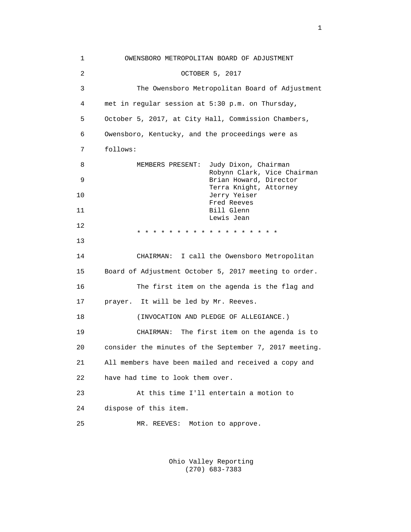| $\mathbf{1}$   | OWENSBORO METROPOLITAN BOARD OF ADJUSTMENT                              |
|----------------|-------------------------------------------------------------------------|
| $\overline{a}$ | OCTOBER 5, 2017                                                         |
| 3              | The Owensboro Metropolitan Board of Adjustment                          |
| 4              | met in regular session at 5:30 p.m. on Thursday,                        |
| 5              | October 5, 2017, at City Hall, Commission Chambers,                     |
| 6              | Owensboro, Kentucky, and the proceedings were as                        |
| 7              | follows:                                                                |
| 8              | MEMBERS PRESENT:<br>Judy Dixon, Chairman<br>Robynn Clark, Vice Chairman |
| 9              | Brian Howard, Director                                                  |
| 10             | Terra Knight, Attorney<br>Jerry Yeiser<br>Fred Reeves                   |
| 11             | Bill Glenn<br>Lewis Jean                                                |
| 12             | * * * * * * * * * * * *                                                 |
| 13             |                                                                         |
| 14             | CHAIRMAN: I call the Owensboro Metropolitan                             |
| 15             | Board of Adjustment October 5, 2017 meeting to order.                   |
| 16             | The first item on the agenda is the flag and                            |
| 17             | prayer. It will be led by Mr. Reeves.                                   |
| 18             | (INVOCATION AND PLEDGE OF ALLEGIANCE.)                                  |
| 19             | CHAIRMAN: The first item on the agenda is to                            |
| 20             | consider the minutes of the September 7, 2017 meeting.                  |
| 21             | All members have been mailed and received a copy and                    |
| 22             | have had time to look them over.                                        |
| 23             | At this time I'll entertain a motion to                                 |
| 24             | dispose of this item.                                                   |
| 25             | Motion to approve.<br>MR. REEVES:                                       |
|                |                                                                         |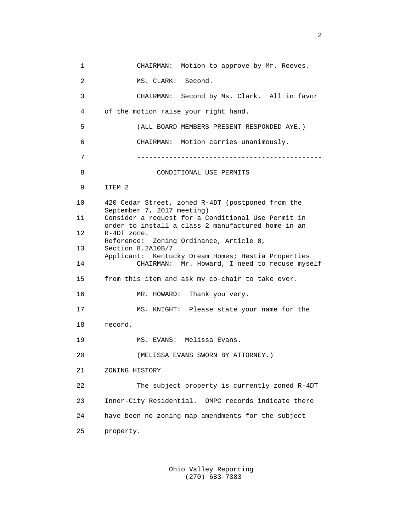1 CHAIRMAN: Motion to approve by Mr. Reeves. 2 MS. CLARK: Second. 3 CHAIRMAN: Second by Ms. Clark. All in favor 4 of the motion raise your right hand. 5 (ALL BOARD MEMBERS PRESENT RESPONDED AYE.) 6 CHAIRMAN: Motion carries unanimously. 7 ---------------------------------------------- 8 CONDITIONAL USE PERMITS 9 ITEM 2 10 420 Cedar Street, zoned R-4DT (postponed from the September 7, 2017 meeting)<br>11 Consider a request for a C Consider a request for a Conditional Use Permit in order to install a class 2 manufactured home in an<br>12 R-4DT zone. R-4DT zone. Reference: Zoning Ordinance, Article 8,<br>13 Section 8.2A10B/7 Section 8.2A10B/7 Applicant: Kentucky Dream Homes; Hestia Properties 14 CHAIRMAN: Mr. Howard, I need to recuse myself 15 from this item and ask my co-chair to take over. 16 MR. HOWARD: Thank you very. 17 MS. KNIGHT: Please state your name for the 18 record. 19 MS. EVANS: Melissa Evans. 20 (MELISSA EVANS SWORN BY ATTORNEY.) 21 ZONING HISTORY 22 The subject property is currently zoned R-4DT 23 Inner-City Residential. OMPC records indicate there 24 have been no zoning map amendments for the subject 25 property.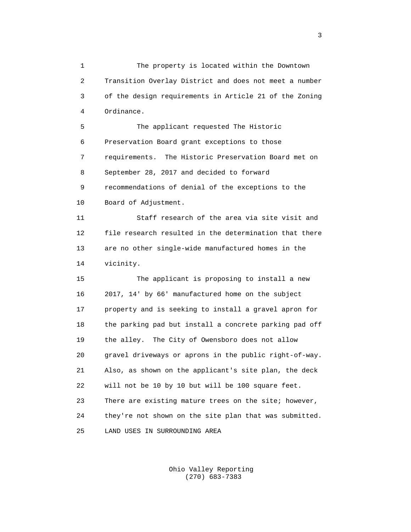1 The property is located within the Downtown 2 Transition Overlay District and does not meet a number 3 of the design requirements in Article 21 of the Zoning 4 Ordinance.

 5 The applicant requested The Historic 6 Preservation Board grant exceptions to those 7 requirements. The Historic Preservation Board met on 8 September 28, 2017 and decided to forward 9 recommendations of denial of the exceptions to the 10 Board of Adjustment.

 11 Staff research of the area via site visit and 12 file research resulted in the determination that there 13 are no other single-wide manufactured homes in the 14 vicinity.

 15 The applicant is proposing to install a new 16 2017, 14' by 66' manufactured home on the subject 17 property and is seeking to install a gravel apron for 18 the parking pad but install a concrete parking pad off 19 the alley. The City of Owensboro does not allow 20 gravel driveways or aprons in the public right-of-way. 21 Also, as shown on the applicant's site plan, the deck 22 will not be 10 by 10 but will be 100 square feet. 23 There are existing mature trees on the site; however, 24 they're not shown on the site plan that was submitted. 25 LAND USES IN SURROUNDING AREA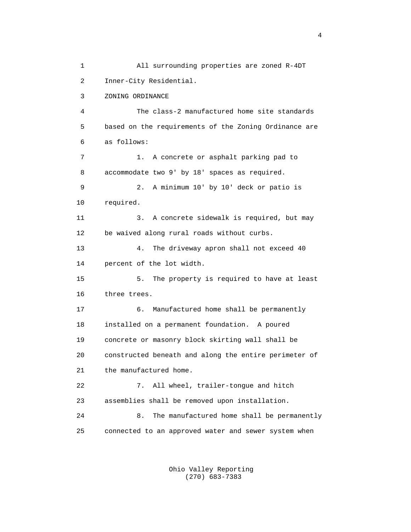1 All surrounding properties are zoned R-4DT 2 Inner-City Residential. 3 ZONING ORDINANCE 4 The class-2 manufactured home site standards 5 based on the requirements of the Zoning Ordinance are 6 as follows: 7 1. A concrete or asphalt parking pad to 8 accommodate two 9' by 18' spaces as required. 9 2. A minimum 10' by 10' deck or patio is 10 required. 11 3. A concrete sidewalk is required, but may 12 be waived along rural roads without curbs. 13 4. The driveway apron shall not exceed 40 14 percent of the lot width. 15 5. The property is required to have at least 16 three trees. 17 6. Manufactured home shall be permanently 18 installed on a permanent foundation. A poured 19 concrete or masonry block skirting wall shall be 20 constructed beneath and along the entire perimeter of 21 the manufactured home. 22 7. All wheel, trailer-tongue and hitch 23 assemblies shall be removed upon installation. 24 8. The manufactured home shall be permanently 25 connected to an approved water and sewer system when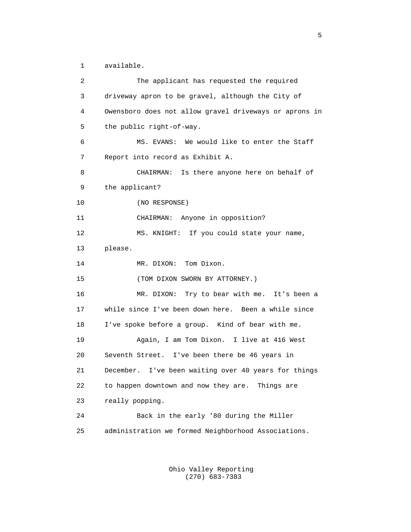1 available.

| 2  | The applicant has requested the required               |
|----|--------------------------------------------------------|
| 3  | driveway apron to be gravel, although the City of      |
| 4  | Owensboro does not allow gravel driveways or aprons in |
| 5  | the public right-of-way.                               |
| 6  | MS. EVANS: We would like to enter the Staff            |
| 7  | Report into record as Exhibit A.                       |
| 8  | CHAIRMAN: Is there anyone here on behalf of            |
| 9  | the applicant?                                         |
| 10 | (NO RESPONSE)                                          |
| 11 | CHAIRMAN: Anyone in opposition?                        |
| 12 | MS. KNIGHT: If you could state your name,              |
| 13 | please.                                                |
| 14 | MR. DIXON: Tom Dixon.                                  |
| 15 | (TOM DIXON SWORN BY ATTORNEY.)                         |
| 16 | MR. DIXON: Try to bear with me. It's been a            |
| 17 | while since I've been down here. Been a while since    |
| 18 | I've spoke before a group. Kind of bear with me.       |
| 19 | Again, I am Tom Dixon. I live at 416 West              |
| 20 | Seventh Street. I've been there be 46 years in         |
| 21 | December. I've been waiting over 40 years for things   |
| 22 | to happen downtown and now they are. Things are        |
| 23 | really popping.                                        |
| 24 | Back in the early '80 during the Miller                |
| 25 | administration we formed Neighborhood Associations.    |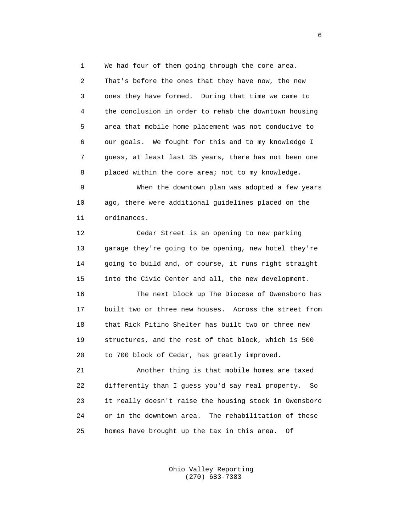1 We had four of them going through the core area. 2 That's before the ones that they have now, the new 3 ones they have formed. During that time we came to 4 the conclusion in order to rehab the downtown housing 5 area that mobile home placement was not conducive to 6 our goals. We fought for this and to my knowledge I 7 guess, at least last 35 years, there has not been one 8 placed within the core area; not to my knowledge.

 9 When the downtown plan was adopted a few years 10 ago, there were additional guidelines placed on the 11 ordinances.

 12 Cedar Street is an opening to new parking 13 garage they're going to be opening, new hotel they're 14 going to build and, of course, it runs right straight 15 into the Civic Center and all, the new development.

 16 The next block up The Diocese of Owensboro has 17 built two or three new houses. Across the street from 18 that Rick Pitino Shelter has built two or three new 19 structures, and the rest of that block, which is 500 20 to 700 block of Cedar, has greatly improved.

 21 Another thing is that mobile homes are taxed 22 differently than I guess you'd say real property. So 23 it really doesn't raise the housing stock in Owensboro 24 or in the downtown area. The rehabilitation of these 25 homes have brought up the tax in this area. Of

> Ohio Valley Reporting (270) 683-7383

 $\sim$  6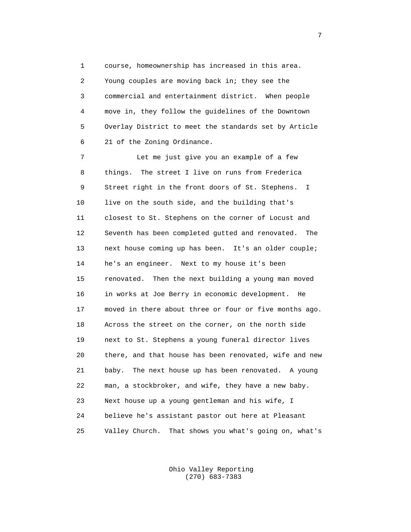1 course, homeownership has increased in this area. 2 Young couples are moving back in; they see the 3 commercial and entertainment district. When people 4 move in, they follow the guidelines of the Downtown 5 Overlay District to meet the standards set by Article 6 21 of the Zoning Ordinance.

 7 Let me just give you an example of a few 8 things. The street I live on runs from Frederica 9 Street right in the front doors of St. Stephens. I 10 live on the south side, and the building that's 11 closest to St. Stephens on the corner of Locust and 12 Seventh has been completed gutted and renovated. The 13 next house coming up has been. It's an older couple; 14 he's an engineer. Next to my house it's been 15 renovated. Then the next building a young man moved 16 in works at Joe Berry in economic development. He 17 moved in there about three or four or five months ago. 18 Across the street on the corner, on the north side 19 next to St. Stephens a young funeral director lives 20 there, and that house has been renovated, wife and new 21 baby. The next house up has been renovated. A young 22 man, a stockbroker, and wife, they have a new baby. 23 Next house up a young gentleman and his wife, I 24 believe he's assistant pastor out here at Pleasant 25 Valley Church. That shows you what's going on, what's

> Ohio Valley Reporting (270) 683-7383

7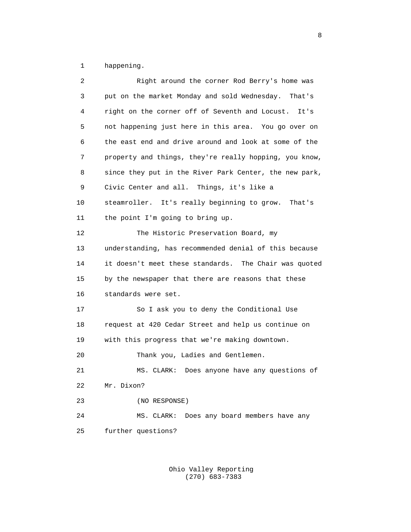1 happening.

| 2  | Right around the corner Rod Berry's home was           |
|----|--------------------------------------------------------|
| 3  | put on the market Monday and sold Wednesday. That's    |
| 4  | right on the corner off of Seventh and Locust.<br>It's |
| 5  | not happening just here in this area. You go over on   |
| 6  | the east end and drive around and look at some of the  |
| 7  | property and things, they're really hopping, you know, |
| 8  | since they put in the River Park Center, the new park, |
| 9  | Civic Center and all. Things, it's like a              |
| 10 | steamroller. It's really beginning to grow. That's     |
| 11 | the point I'm going to bring up.                       |
| 12 | The Historic Preservation Board, my                    |
| 13 | understanding, has recommended denial of this because  |
| 14 | it doesn't meet these standards. The Chair was quoted  |
| 15 | by the newspaper that there are reasons that these     |
| 16 | standards were set.                                    |
| 17 | So I ask you to deny the Conditional Use               |
| 18 | request at 420 Cedar Street and help us continue on    |
| 19 | with this progress that we're making downtown.         |
| 20 | Thank you, Ladies and Gentlemen.                       |
| 21 | Does anyone have any questions of<br>MS. CLARK:        |
| 22 | Mr. Dixon?                                             |
| 23 | (NO RESPONSE)                                          |
| 24 | Does any board members have any<br>MS. CLARK:          |
| 25 | further questions?                                     |
|    |                                                        |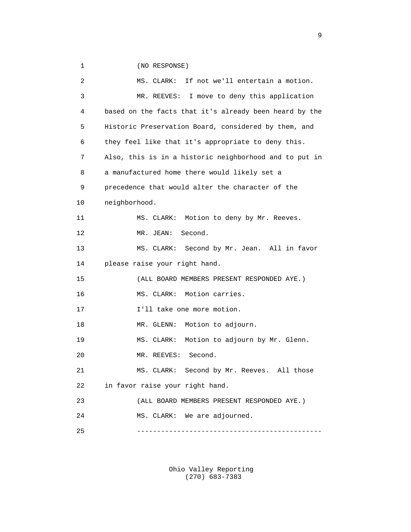1 (NO RESPONSE)

 2 MS. CLARK: If not we'll entertain a motion. 3 MR. REEVES: I move to deny this application 4 based on the facts that it's already been heard by the 5 Historic Preservation Board, considered by them, and 6 they feel like that it's appropriate to deny this. 7 Also, this is in a historic neighborhood and to put in 8 a manufactured home there would likely set a 9 precedence that would alter the character of the 10 neighborhood. 11 MS. CLARK: Motion to deny by Mr. Reeves. 12 MR. JEAN: Second. 13 MS. CLARK: Second by Mr. Jean. All in favor 14 please raise your right hand. 15 (ALL BOARD MEMBERS PRESENT RESPONDED AYE.) 16 MS. CLARK: Motion carries. 17 **I'll take one more motion.** 18 MR. GLENN: Motion to adjourn. 19 MS. CLARK: Motion to adjourn by Mr. Glenn. 20 MR. REEVES: Second. 21 MS. CLARK: Second by Mr. Reeves. All those 22 in favor raise your right hand. 23 (ALL BOARD MEMBERS PRESENT RESPONDED AYE.) 24 MS. CLARK: We are adjourned. 25 ----------------------------------------------